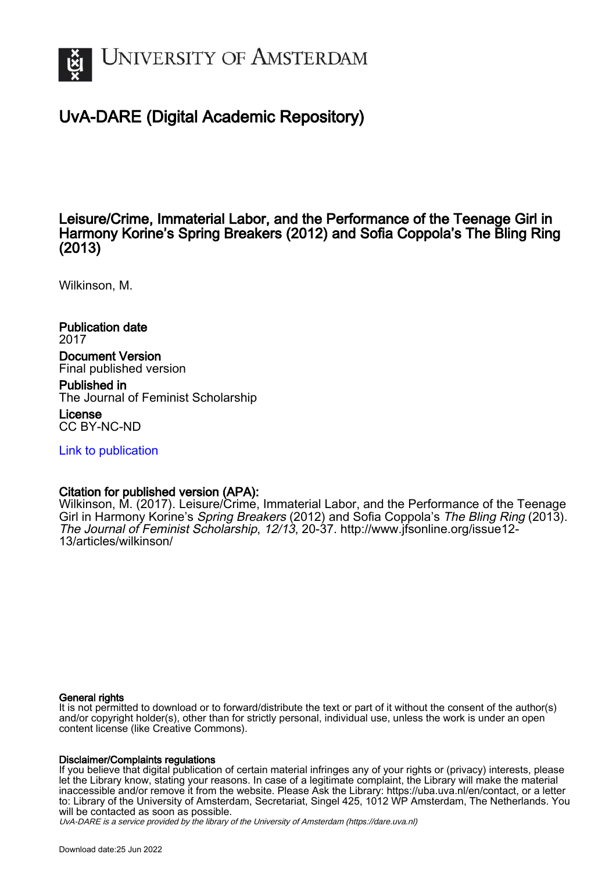

## UvA-DARE (Digital Academic Repository)

### Leisure/Crime, Immaterial Labor, and the Performance of the Teenage Girl in Harmony Korine's Spring Breakers (2012) and Sofia Coppola's The Bling Ring (2013)

Wilkinson, M.

Publication date 2017 Document Version Final published version Published in The Journal of Feminist Scholarship

License CC BY-NC-ND

[Link to publication](https://dare.uva.nl/personal/pure/en/publications/leisurecrime-immaterial-labor-and-the-performance-of-the-teenage-girl-in-harmony-korines-spring-breakers-2012-and-sofia-coppolas-the-bling-ring-2013(d3bd0d2e-3e54-4e96-af9d-dc07525a0f35).html)

#### Citation for published version (APA):

Wilkinson, M. (2017). Leisure/Crime, Immaterial Labor, and the Performance of the Teenage Girl in Harmony Korine's Spring Breakers (2012) and Sofia Coppola's The Bling Ring (2013). The Journal of Feminist Scholarship, 12/13, 20-37. [http://www.jfsonline.org/issue12-](http://www.jfsonline.org/issue12-13/articles/wilkinson/) [13/articles/wilkinson/](http://www.jfsonline.org/issue12-13/articles/wilkinson/)

#### General rights

It is not permitted to download or to forward/distribute the text or part of it without the consent of the author(s) and/or copyright holder(s), other than for strictly personal, individual use, unless the work is under an open content license (like Creative Commons).

#### Disclaimer/Complaints regulations

If you believe that digital publication of certain material infringes any of your rights or (privacy) interests, please let the Library know, stating your reasons. In case of a legitimate complaint, the Library will make the material inaccessible and/or remove it from the website. Please Ask the Library: https://uba.uva.nl/en/contact, or a letter to: Library of the University of Amsterdam, Secretariat, Singel 425, 1012 WP Amsterdam, The Netherlands. You will be contacted as soon as possible.

UvA-DARE is a service provided by the library of the University of Amsterdam (http*s*://dare.uva.nl)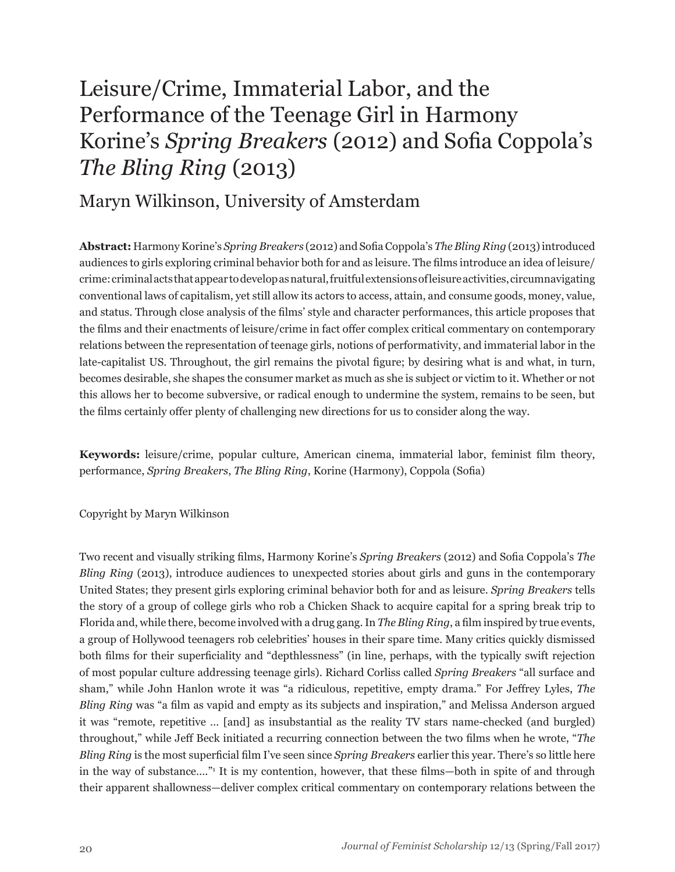# Leisure/Crime, Immaterial Labor, and the Performance of the Teenage Girl in Harmony Korine's *Spring Breakers* (2012) and Sofia Coppola's *The Bling Ring* (2013)

## Maryn Wilkinson, University of Amsterdam

**Abstract:** Harmony Korine's *Spring Breakers* (2012) and Sofia Coppola's *The Bling Ring* (2013) introduced audiences to girls exploring criminal behavior both for and as leisure. The films introduce an idea of leisure/ crime: criminal acts that appear to develop as natural, fruitful extensions of leisure activities, circumnavigating conventional laws of capitalism, yet still allow its actors to access, attain, and consume goods, money, value, and status. Through close analysis of the films' style and character performances, this article proposes that the films and their enactments of leisure/crime in fact offer complex critical commentary on contemporary relations between the representation of teenage girls, notions of performativity, and immaterial labor in the late-capitalist US. Throughout, the girl remains the pivotal figure; by desiring what is and what, in turn, becomes desirable, she shapes the consumer market as much as she is subject or victim to it. Whether or not this allows her to become subversive, or radical enough to undermine the system, remains to be seen, but the films certainly offer plenty of challenging new directions for us to consider along the way.

**Keywords:** leisure/crime, popular culture, American cinema, immaterial labor, feminist film theory, performance, *Spring Breakers*, *The Bling Ring*, Korine (Harmony), Coppola (Sofia)

Copyright by Maryn Wilkinson

Two recent and visually striking films, Harmony Korine's *Spring Breakers* (2012) and Sofia Coppola's *The Bling Ring* (2013), introduce audiences to unexpected stories about girls and guns in the contemporary United States; they present girls exploring criminal behavior both for and as leisure. *Spring Breakers* tells the story of a group of college girls who rob a Chicken Shack to acquire capital for a spring break trip to Florida and, while there, become involved with a drug gang. In *The Bling Ring*, a film inspired by true events, a group of Hollywood teenagers rob celebrities' houses in their spare time. Many critics quickly dismissed both films for their superficiality and "depthlessness" (in line, perhaps, with the typically swift rejection of most popular culture addressing teenage girls). Richard Corliss called *Spring Breakers* "all surface and sham," while John Hanlon wrote it was "a ridiculous, repetitive, empty drama." For Jeffrey Lyles, *The Bling Ring* was "a film as vapid and empty as its subjects and inspiration," and Melissa Anderson argued it was "remote, repetitive … [and] as insubstantial as the reality TV stars name-checked (and burgled) throughout," while Jeff Beck initiated a recurring connection between the two films when he wrote, "*The Bling Ring* is the most superficial film I've seen since *Spring Breakers* earlier this year. There's so little here in the way of substance...."<sup>1</sup> It is my contention, however, that these films—both in spite of and through their apparent shallowness—deliver complex critical commentary on contemporary relations between the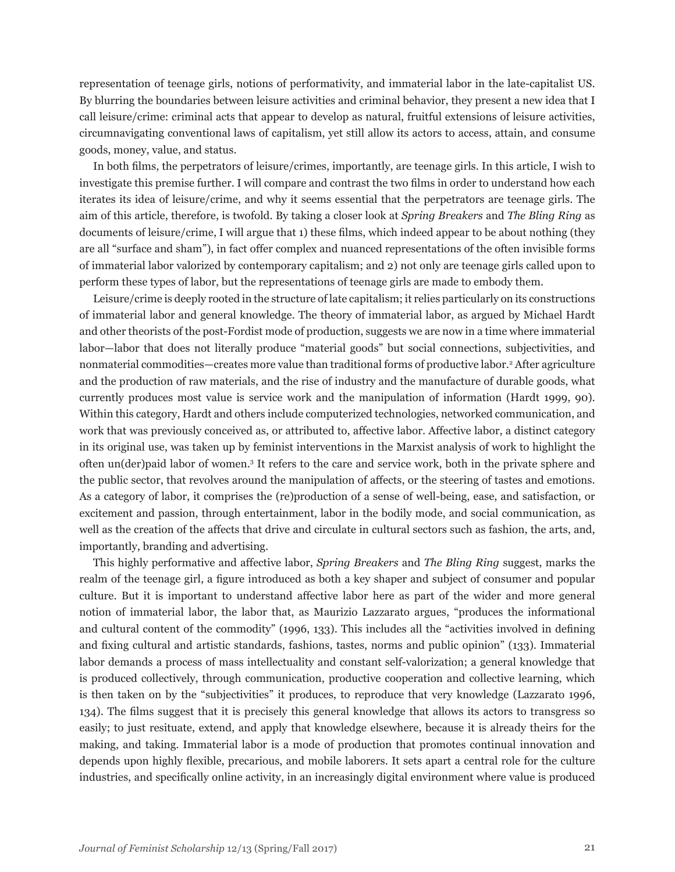representation of teenage girls, notions of performativity, and immaterial labor in the late-capitalist US. By blurring the boundaries between leisure activities and criminal behavior, they present a new idea that I call leisure/crime: criminal acts that appear to develop as natural, fruitful extensions of leisure activities, circumnavigating conventional laws of capitalism, yet still allow its actors to access, attain, and consume goods, money, value, and status.

In both films, the perpetrators of leisure/crimes, importantly, are teenage girls. In this article, I wish to investigate this premise further. I will compare and contrast the two films in order to understand how each iterates its idea of leisure/crime, and why it seems essential that the perpetrators are teenage girls. The aim of this article, therefore, is twofold. By taking a closer look at *Spring Breakers* and *The Bling Ring* as documents of leisure/crime, I will argue that 1) these films, which indeed appear to be about nothing (they are all "surface and sham"), in fact offer complex and nuanced representations of the often invisible forms of immaterial labor valorized by contemporary capitalism; and 2) not only are teenage girls called upon to perform these types of labor, but the representations of teenage girls are made to embody them.

Leisure/crime is deeply rooted in the structure of late capitalism; it relies particularly on its constructions of immaterial labor and general knowledge. The theory of immaterial labor, as argued by Michael Hardt and other theorists of the post-Fordist mode of production, suggests we are now in a time where immaterial labor—labor that does not literally produce "material goods" but social connections, subjectivities, and nonmaterial commodities—creates more value than traditional forms of productive labor.<sup>2</sup> After agriculture and the production of raw materials, and the rise of industry and the manufacture of durable goods, what currently produces most value is service work and the manipulation of information (Hardt 1999, 90). Within this category, Hardt and others include computerized technologies, networked communication, and work that was previously conceived as, or attributed to, affective labor. Affective labor, a distinct category in its original use, was taken up by feminist interventions in the Marxist analysis of work to highlight the often un(der)paid labor of women.<sup>3</sup> It refers to the care and service work, both in the private sphere and the public sector, that revolves around the manipulation of affects, or the steering of tastes and emotions. As a category of labor, it comprises the (re)production of a sense of well-being, ease, and satisfaction, or excitement and passion, through entertainment, labor in the bodily mode, and social communication, as well as the creation of the affects that drive and circulate in cultural sectors such as fashion, the arts, and, importantly, branding and advertising.

This highly performative and affective labor, *Spring Breakers* and *The Bling Ring* suggest, marks the realm of the teenage girl, a figure introduced as both a key shaper and subject of consumer and popular culture. But it is important to understand affective labor here as part of the wider and more general notion of immaterial labor, the labor that, as Maurizio Lazzarato argues, "produces the informational and cultural content of the commodity" (1996, 133). This includes all the "activities involved in defining and fixing cultural and artistic standards, fashions, tastes, norms and public opinion" (133). Immaterial labor demands a process of mass intellectuality and constant self-valorization; a general knowledge that is produced collectively, through communication, productive cooperation and collective learning, which is then taken on by the "subjectivities" it produces, to reproduce that very knowledge (Lazzarato 1996, 134). The films suggest that it is precisely this general knowledge that allows its actors to transgress so easily; to just resituate, extend, and apply that knowledge elsewhere, because it is already theirs for the making, and taking. Immaterial labor is a mode of production that promotes continual innovation and depends upon highly flexible, precarious, and mobile laborers. It sets apart a central role for the culture industries, and specifically online activity, in an increasingly digital environment where value is produced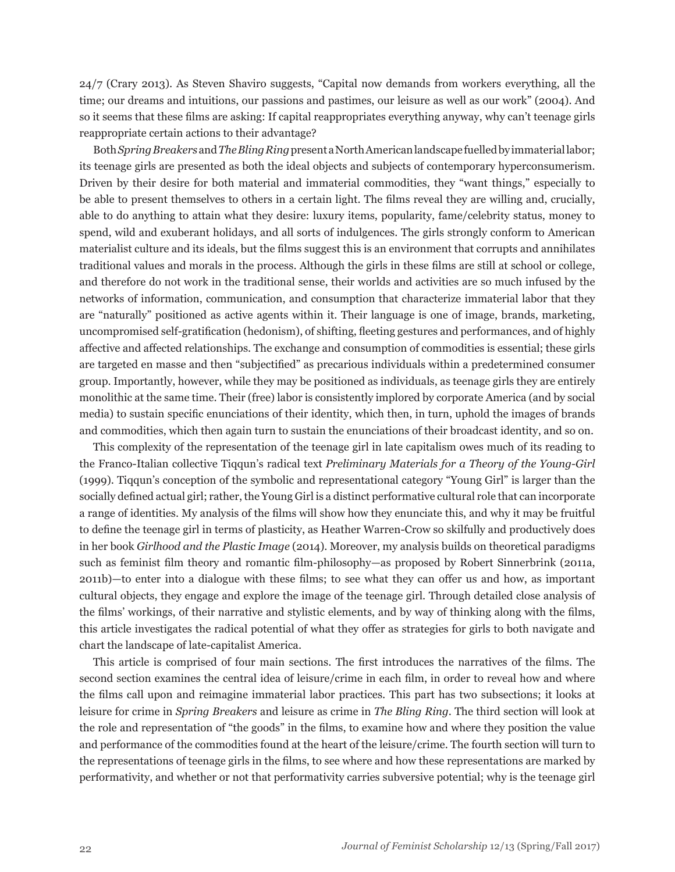24/7 (Crary 2013). As Steven Shaviro suggests, "Capital now demands from workers everything, all the time; our dreams and intuitions, our passions and pastimes, our leisure as well as our work" (2004). And so it seems that these films are asking: If capital reappropriates everything anyway, why can't teenage girls reappropriate certain actions to their advantage?

Both *Spring Breakers* and *The Bling Ring* present a North American landscape fuelled by immaterial labor; its teenage girls are presented as both the ideal objects and subjects of contemporary hyperconsumerism. Driven by their desire for both material and immaterial commodities, they "want things," especially to be able to present themselves to others in a certain light. The films reveal they are willing and, crucially, able to do anything to attain what they desire: luxury items, popularity, fame/celebrity status, money to spend, wild and exuberant holidays, and all sorts of indulgences. The girls strongly conform to American materialist culture and its ideals, but the films suggest this is an environment that corrupts and annihilates traditional values and morals in the process. Although the girls in these films are still at school or college, and therefore do not work in the traditional sense, their worlds and activities are so much infused by the networks of information, communication, and consumption that characterize immaterial labor that they are "naturally" positioned as active agents within it. Their language is one of image, brands, marketing, uncompromised self-gratification (hedonism), of shifting, fleeting gestures and performances, and of highly affective and affected relationships. The exchange and consumption of commodities is essential; these girls are targeted en masse and then "subjectified" as precarious individuals within a predetermined consumer group. Importantly, however, while they may be positioned as individuals, as teenage girls they are entirely monolithic at the same time. Their (free) labor is consistently implored by corporate America (and by social media) to sustain specific enunciations of their identity, which then, in turn, uphold the images of brands and commodities, which then again turn to sustain the enunciations of their broadcast identity, and so on.

This complexity of the representation of the teenage girl in late capitalism owes much of its reading to the Franco-Italian collective Tiqqun's radical text *Preliminary Materials for a Theory of the Young-Girl* (1999). Tiqqun's conception of the symbolic and representational category "Young Girl" is larger than the socially defined actual girl; rather, the Young Girl is a distinct performative cultural role that can incorporate a range of identities. My analysis of the films will show how they enunciate this, and why it may be fruitful to define the teenage girl in terms of plasticity, as Heather Warren-Crow so skilfully and productively does in her book *Girlhood and the Plastic Image* (2014). Moreover, my analysis builds on theoretical paradigms such as feminist film theory and romantic film-philosophy—as proposed by Robert Sinnerbrink (2011a, 2011b)—to enter into a dialogue with these films; to see what they can offer us and how, as important cultural objects, they engage and explore the image of the teenage girl. Through detailed close analysis of the films' workings, of their narrative and stylistic elements, and by way of thinking along with the films, this article investigates the radical potential of what they offer as strategies for girls to both navigate and chart the landscape of late-capitalist America.

This article is comprised of four main sections. The first introduces the narratives of the films. The second section examines the central idea of leisure/crime in each film, in order to reveal how and where the films call upon and reimagine immaterial labor practices. This part has two subsections; it looks at leisure for crime in *Spring Breakers* and leisure as crime in *The Bling Ring*. The third section will look at the role and representation of "the goods" in the films, to examine how and where they position the value and performance of the commodities found at the heart of the leisure/crime. The fourth section will turn to the representations of teenage girls in the films, to see where and how these representations are marked by performativity, and whether or not that performativity carries subversive potential; why is the teenage girl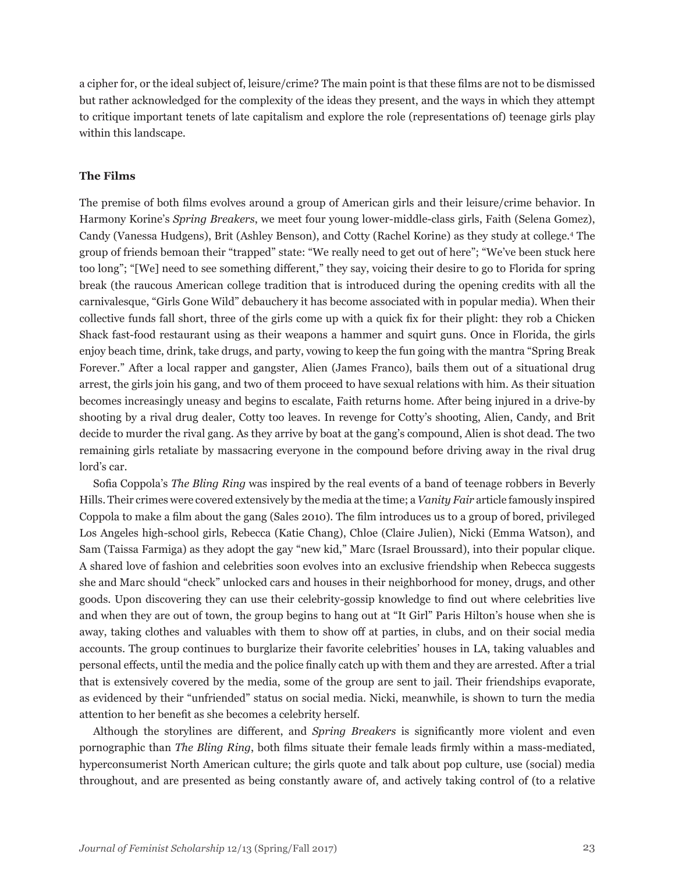a cipher for, or the ideal subject of, leisure/crime? The main point is that these films are not to be dismissed but rather acknowledged for the complexity of the ideas they present, and the ways in which they attempt to critique important tenets of late capitalism and explore the role (representations of) teenage girls play within this landscape.

#### **The Films**

The premise of both films evolves around a group of American girls and their leisure/crime behavior. In Harmony Korine's *Spring Breakers*, we meet four young lower-middle-class girls, Faith (Selena Gomez), Candy (Vanessa Hudgens), Brit (Ashley Benson), and Cotty (Rachel Korine) as they study at college.<sup>4</sup> The group of friends bemoan their "trapped" state: "We really need to get out of here"; "We've been stuck here too long"; "[We] need to see something different," they say, voicing their desire to go to Florida for spring break (the raucous American college tradition that is introduced during the opening credits with all the carnivalesque, "Girls Gone Wild" debauchery it has become associated with in popular media). When their collective funds fall short, three of the girls come up with a quick fix for their plight: they rob a Chicken Shack fast-food restaurant using as their weapons a hammer and squirt guns. Once in Florida, the girls enjoy beach time, drink, take drugs, and party, vowing to keep the fun going with the mantra "Spring Break Forever." After a local rapper and gangster, Alien (James Franco), bails them out of a situational drug arrest, the girls join his gang, and two of them proceed to have sexual relations with him. As their situation becomes increasingly uneasy and begins to escalate, Faith returns home. After being injured in a drive-by shooting by a rival drug dealer, Cotty too leaves. In revenge for Cotty's shooting, Alien, Candy, and Brit decide to murder the rival gang. As they arrive by boat at the gang's compound, Alien is shot dead. The two remaining girls retaliate by massacring everyone in the compound before driving away in the rival drug lord's car.

Sofia Coppola's *The Bling Ring* was inspired by the real events of a band of teenage robbers in Beverly Hills. Their crimes were covered extensively by the media at the time; a *Vanity Fair* article famously inspired Coppola to make a film about the gang (Sales 2010). The film introduces us to a group of bored, privileged Los Angeles high-school girls, Rebecca (Katie Chang), Chloe (Claire Julien), Nicki (Emma Watson), and Sam (Taissa Farmiga) as they adopt the gay "new kid," Marc (Israel Broussard), into their popular clique. A shared love of fashion and celebrities soon evolves into an exclusive friendship when Rebecca suggests she and Marc should "check" unlocked cars and houses in their neighborhood for money, drugs, and other goods. Upon discovering they can use their celebrity-gossip knowledge to find out where celebrities live and when they are out of town, the group begins to hang out at "It Girl" Paris Hilton's house when she is away, taking clothes and valuables with them to show off at parties, in clubs, and on their social media accounts. The group continues to burglarize their favorite celebrities' houses in LA, taking valuables and personal effects, until the media and the police finally catch up with them and they are arrested. After a trial that is extensively covered by the media, some of the group are sent to jail. Their friendships evaporate, as evidenced by their "unfriended" status on social media. Nicki, meanwhile, is shown to turn the media attention to her benefit as she becomes a celebrity herself.

Although the storylines are different, and *Spring Breakers* is significantly more violent and even pornographic than *The Bling Ring*, both films situate their female leads firmly within a mass-mediated, hyperconsumerist North American culture; the girls quote and talk about pop culture, use (social) media throughout, and are presented as being constantly aware of, and actively taking control of (to a relative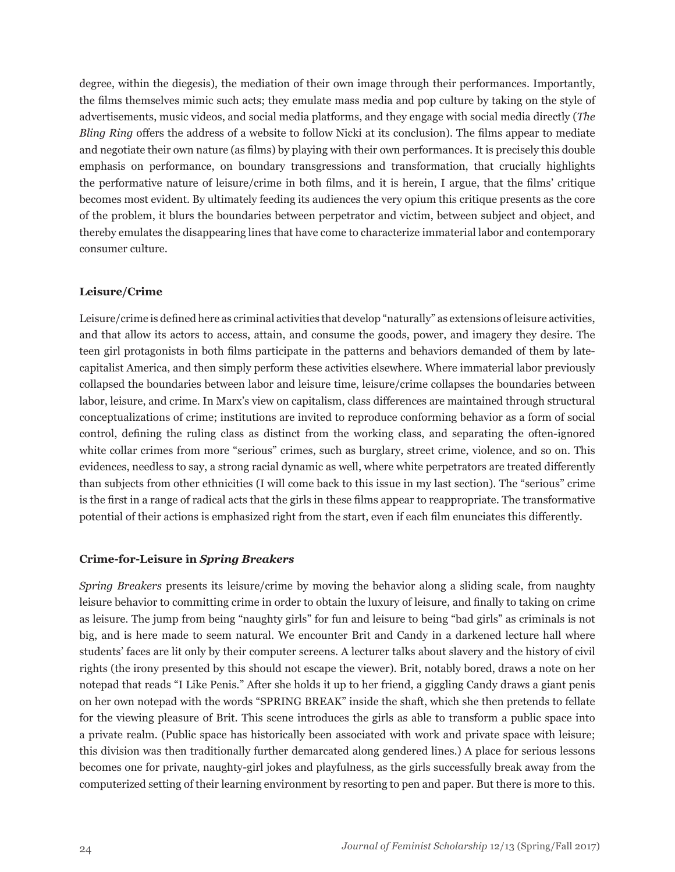degree, within the diegesis), the mediation of their own image through their performances. Importantly, the films themselves mimic such acts; they emulate mass media and pop culture by taking on the style of advertisements, music videos, and social media platforms, and they engage with social media directly (*The Bling Ring* offers the address of a website to follow Nicki at its conclusion). The films appear to mediate and negotiate their own nature (as films) by playing with their own performances. It is precisely this double emphasis on performance, on boundary transgressions and transformation, that crucially highlights the performative nature of leisure/crime in both films, and it is herein, I argue, that the films' critique becomes most evident. By ultimately feeding its audiences the very opium this critique presents as the core of the problem, it blurs the boundaries between perpetrator and victim, between subject and object, and thereby emulates the disappearing lines that have come to characterize immaterial labor and contemporary consumer culture.

#### **Leisure/Crime**

Leisure/crime is defined here as criminal activities that develop "naturally" as extensions of leisure activities, and that allow its actors to access, attain, and consume the goods, power, and imagery they desire. The teen girl protagonists in both films participate in the patterns and behaviors demanded of them by latecapitalist America, and then simply perform these activities elsewhere. Where immaterial labor previously collapsed the boundaries between labor and leisure time, leisure/crime collapses the boundaries between labor, leisure, and crime. In Marx's view on capitalism, class differences are maintained through structural conceptualizations of crime; institutions are invited to reproduce conforming behavior as a form of social control, defining the ruling class as distinct from the working class, and separating the often-ignored white collar crimes from more "serious" crimes, such as burglary, street crime, violence, and so on. This evidences, needless to say, a strong racial dynamic as well, where white perpetrators are treated differently than subjects from other ethnicities (I will come back to this issue in my last section). The "serious" crime is the first in a range of radical acts that the girls in these films appear to reappropriate. The transformative potential of their actions is emphasized right from the start, even if each film enunciates this differently.

#### **Crime-for-Leisure in** *Spring Breakers*

*Spring Breakers* presents its leisure/crime by moving the behavior along a sliding scale, from naughty leisure behavior to committing crime in order to obtain the luxury of leisure, and finally to taking on crime as leisure. The jump from being "naughty girls" for fun and leisure to being "bad girls" as criminals is not big, and is here made to seem natural. We encounter Brit and Candy in a darkened lecture hall where students' faces are lit only by their computer screens. A lecturer talks about slavery and the history of civil rights (the irony presented by this should not escape the viewer). Brit, notably bored, draws a note on her notepad that reads "I Like Penis." After she holds it up to her friend, a giggling Candy draws a giant penis on her own notepad with the words "SPRING BREAK" inside the shaft, which she then pretends to fellate for the viewing pleasure of Brit. This scene introduces the girls as able to transform a public space into a private realm. (Public space has historically been associated with work and private space with leisure; this division was then traditionally further demarcated along gendered lines.) A place for serious lessons becomes one for private, naughty-girl jokes and playfulness, as the girls successfully break away from the computerized setting of their learning environment by resorting to pen and paper. But there is more to this.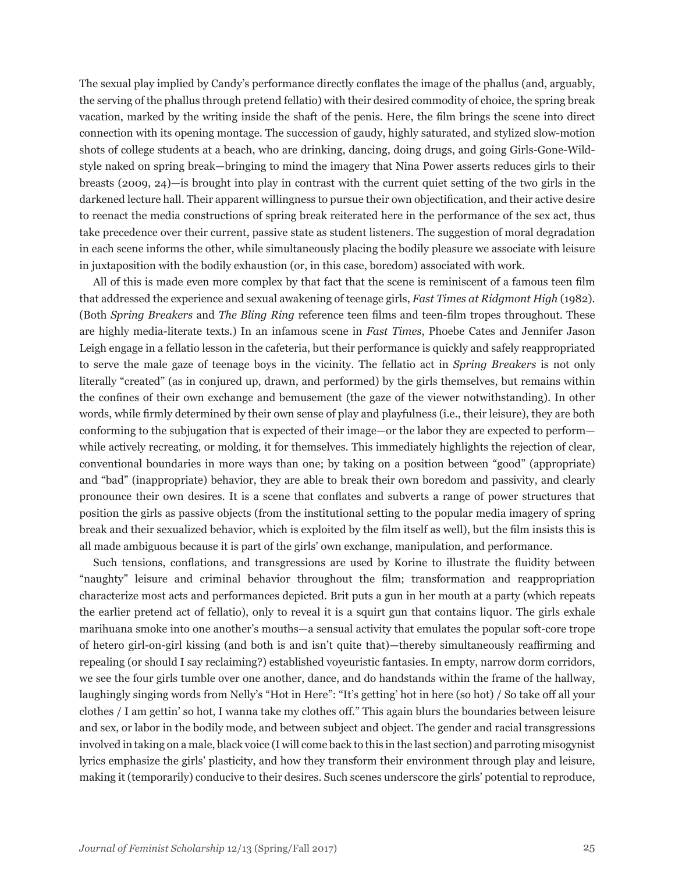The sexual play implied by Candy's performance directly conflates the image of the phallus (and, arguably, the serving of the phallus through pretend fellatio) with their desired commodity of choice, the spring break vacation, marked by the writing inside the shaft of the penis. Here, the film brings the scene into direct connection with its opening montage. The succession of gaudy, highly saturated, and stylized slow-motion shots of college students at a beach, who are drinking, dancing, doing drugs, and going Girls-Gone-Wildstyle naked on spring break—bringing to mind the imagery that Nina Power asserts reduces girls to their breasts (2009, 24)—is brought into play in contrast with the current quiet setting of the two girls in the darkened lecture hall. Their apparent willingness to pursue their own objectification, and their active desire to reenact the media constructions of spring break reiterated here in the performance of the sex act, thus take precedence over their current, passive state as student listeners. The suggestion of moral degradation in each scene informs the other, while simultaneously placing the bodily pleasure we associate with leisure in juxtaposition with the bodily exhaustion (or, in this case, boredom) associated with work.

All of this is made even more complex by that fact that the scene is reminiscent of a famous teen film that addressed the experience and sexual awakening of teenage girls, *Fast Times at Ridgmont High* (1982). (Both *Spring Breakers* and *The Bling Ring* reference teen films and teen-film tropes throughout. These are highly media-literate texts.) In an infamous scene in *Fast Times*, Phoebe Cates and Jennifer Jason Leigh engage in a fellatio lesson in the cafeteria, but their performance is quickly and safely reappropriated to serve the male gaze of teenage boys in the vicinity. The fellatio act in *Spring Breakers* is not only literally "created" (as in conjured up, drawn, and performed) by the girls themselves, but remains within the confines of their own exchange and bemusement (the gaze of the viewer notwithstanding). In other words, while firmly determined by their own sense of play and playfulness (i.e., their leisure), they are both conforming to the subjugation that is expected of their image—or the labor they are expected to perform while actively recreating, or molding, it for themselves. This immediately highlights the rejection of clear, conventional boundaries in more ways than one; by taking on a position between "good" (appropriate) and "bad" (inappropriate) behavior, they are able to break their own boredom and passivity, and clearly pronounce their own desires. It is a scene that conflates and subverts a range of power structures that position the girls as passive objects (from the institutional setting to the popular media imagery of spring break and their sexualized behavior, which is exploited by the film itself as well), but the film insists this is all made ambiguous because it is part of the girls' own exchange, manipulation, and performance.

Such tensions, conflations, and transgressions are used by Korine to illustrate the fluidity between "naughty" leisure and criminal behavior throughout the film; transformation and reappropriation characterize most acts and performances depicted. Brit puts a gun in her mouth at a party (which repeats the earlier pretend act of fellatio), only to reveal it is a squirt gun that contains liquor. The girls exhale marihuana smoke into one another's mouths—a sensual activity that emulates the popular soft-core trope of hetero girl-on-girl kissing (and both is and isn't quite that)—thereby simultaneously reaffirming and repealing (or should I say reclaiming?) established voyeuristic fantasies. In empty, narrow dorm corridors, we see the four girls tumble over one another, dance, and do handstands within the frame of the hallway, laughingly singing words from Nelly's "Hot in Here": "It's getting' hot in here (so hot) / So take off all your clothes / I am gettin' so hot, I wanna take my clothes off." This again blurs the boundaries between leisure and sex, or labor in the bodily mode, and between subject and object. The gender and racial transgressions involved in taking on a male, black voice (I will come back to this in the last section) and parroting misogynist lyrics emphasize the girls' plasticity, and how they transform their environment through play and leisure, making it (temporarily) conducive to their desires. Such scenes underscore the girls' potential to reproduce,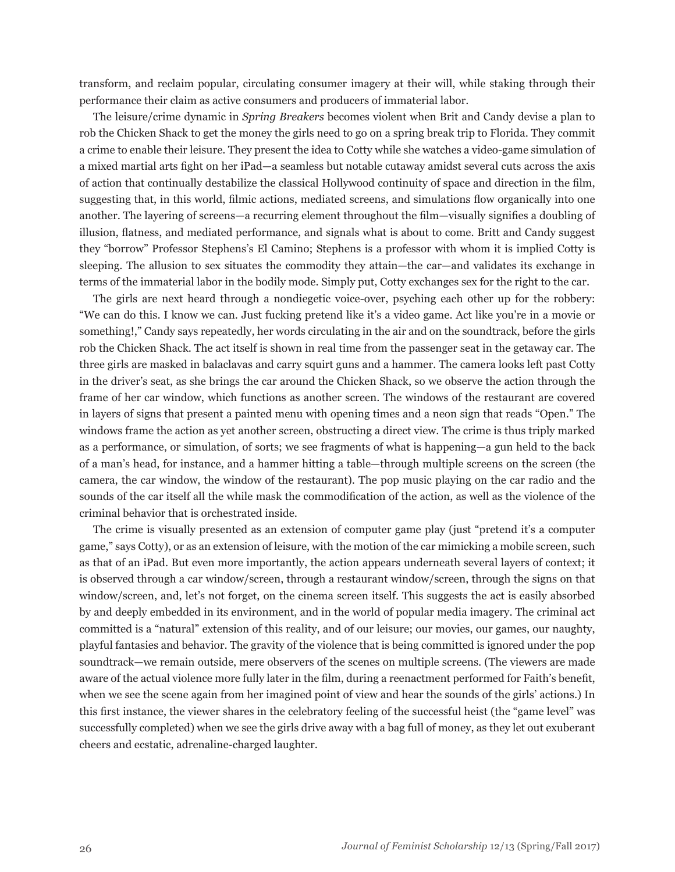transform, and reclaim popular, circulating consumer imagery at their will, while staking through their performance their claim as active consumers and producers of immaterial labor.

The leisure/crime dynamic in *Spring Breakers* becomes violent when Brit and Candy devise a plan to rob the Chicken Shack to get the money the girls need to go on a spring break trip to Florida. They commit a crime to enable their leisure. They present the idea to Cotty while she watches a video-game simulation of a mixed martial arts fight on her iPad—a seamless but notable cutaway amidst several cuts across the axis of action that continually destabilize the classical Hollywood continuity of space and direction in the film, suggesting that, in this world, filmic actions, mediated screens, and simulations flow organically into one another. The layering of screens—a recurring element throughout the film—visually signifies a doubling of illusion, flatness, and mediated performance, and signals what is about to come. Britt and Candy suggest they "borrow" Professor Stephens's El Camino; Stephens is a professor with whom it is implied Cotty is sleeping. The allusion to sex situates the commodity they attain—the car—and validates its exchange in terms of the immaterial labor in the bodily mode. Simply put, Cotty exchanges sex for the right to the car.

The girls are next heard through a nondiegetic voice-over, psyching each other up for the robbery: "We can do this. I know we can. Just fucking pretend like it's a video game. Act like you're in a movie or something!," Candy says repeatedly, her words circulating in the air and on the soundtrack, before the girls rob the Chicken Shack. The act itself is shown in real time from the passenger seat in the getaway car. The three girls are masked in balaclavas and carry squirt guns and a hammer. The camera looks left past Cotty in the driver's seat, as she brings the car around the Chicken Shack, so we observe the action through the frame of her car window, which functions as another screen. The windows of the restaurant are covered in layers of signs that present a painted menu with opening times and a neon sign that reads "Open." The windows frame the action as yet another screen, obstructing a direct view. The crime is thus triply marked as a performance, or simulation, of sorts; we see fragments of what is happening—a gun held to the back of a man's head, for instance, and a hammer hitting a table—through multiple screens on the screen (the camera, the car window, the window of the restaurant). The pop music playing on the car radio and the sounds of the car itself all the while mask the commodification of the action, as well as the violence of the criminal behavior that is orchestrated inside.

The crime is visually presented as an extension of computer game play (just "pretend it's a computer game," says Cotty), or as an extension of leisure, with the motion of the car mimicking a mobile screen, such as that of an iPad. But even more importantly, the action appears underneath several layers of context; it is observed through a car window/screen, through a restaurant window/screen, through the signs on that window/screen, and, let's not forget, on the cinema screen itself. This suggests the act is easily absorbed by and deeply embedded in its environment, and in the world of popular media imagery. The criminal act committed is a "natural" extension of this reality, and of our leisure; our movies, our games, our naughty, playful fantasies and behavior. The gravity of the violence that is being committed is ignored under the pop soundtrack—we remain outside, mere observers of the scenes on multiple screens. (The viewers are made aware of the actual violence more fully later in the film, during a reenactment performed for Faith's benefit, when we see the scene again from her imagined point of view and hear the sounds of the girls' actions.) In this first instance, the viewer shares in the celebratory feeling of the successful heist (the "game level" was successfully completed) when we see the girls drive away with a bag full of money, as they let out exuberant cheers and ecstatic, adrenaline-charged laughter.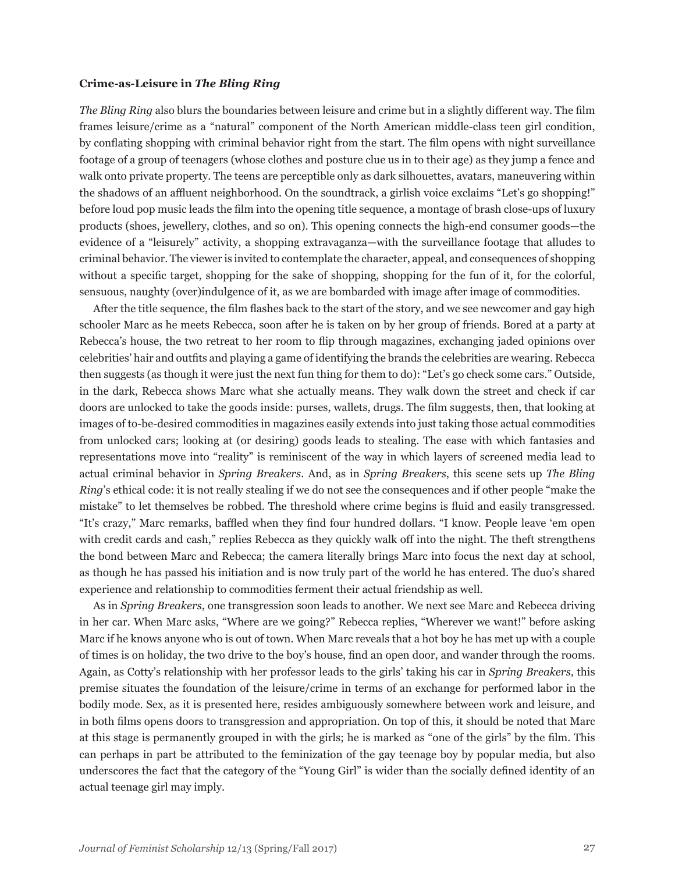#### **Crime-as-Leisure in** *The Bling Ring*

*The Bling Ring* also blurs the boundaries between leisure and crime but in a slightly different way. The film frames leisure/crime as a "natural" component of the North American middle-class teen girl condition, by conflating shopping with criminal behavior right from the start. The film opens with night surveillance footage of a group of teenagers (whose clothes and posture clue us in to their age) as they jump a fence and walk onto private property. The teens are perceptible only as dark silhouettes, avatars, maneuvering within the shadows of an affluent neighborhood. On the soundtrack, a girlish voice exclaims "Let's go shopping!" before loud pop music leads the film into the opening title sequence, a montage of brash close-ups of luxury products (shoes, jewellery, clothes, and so on). This opening connects the high-end consumer goods—the evidence of a "leisurely" activity, a shopping extravaganza—with the surveillance footage that alludes to criminal behavior. The viewer is invited to contemplate the character, appeal, and consequences of shopping without a specific target, shopping for the sake of shopping, shopping for the fun of it, for the colorful, sensuous, naughty (over)indulgence of it, as we are bombarded with image after image of commodities.

After the title sequence, the film flashes back to the start of the story, and we see newcomer and gay high schooler Marc as he meets Rebecca, soon after he is taken on by her group of friends. Bored at a party at Rebecca's house, the two retreat to her room to flip through magazines, exchanging jaded opinions over celebrities' hair and outfits and playing a game of identifying the brands the celebrities are wearing. Rebecca then suggests (as though it were just the next fun thing for them to do): "Let's go check some cars." Outside, in the dark, Rebecca shows Marc what she actually means. They walk down the street and check if car doors are unlocked to take the goods inside: purses, wallets, drugs. The film suggests, then, that looking at images of to-be-desired commodities in magazines easily extends into just taking those actual commodities from unlocked cars; looking at (or desiring) goods leads to stealing. The ease with which fantasies and representations move into "reality" is reminiscent of the way in which layers of screened media lead to actual criminal behavior in *Spring Breakers*. And, as in *Spring Breakers*, this scene sets up *The Bling Ring*'s ethical code: it is not really stealing if we do not see the consequences and if other people "make the mistake" to let themselves be robbed. The threshold where crime begins is fluid and easily transgressed. "It's crazy," Marc remarks, baffled when they find four hundred dollars. "I know. People leave 'em open with credit cards and cash," replies Rebecca as they quickly walk off into the night. The theft strengthens the bond between Marc and Rebecca; the camera literally brings Marc into focus the next day at school, as though he has passed his initiation and is now truly part of the world he has entered. The duo's shared experience and relationship to commodities ferment their actual friendship as well.

As in *Spring Breakers*, one transgression soon leads to another. We next see Marc and Rebecca driving in her car. When Marc asks, "Where are we going?" Rebecca replies, "Wherever we want!" before asking Marc if he knows anyone who is out of town. When Marc reveals that a hot boy he has met up with a couple of times is on holiday, the two drive to the boy's house, find an open door, and wander through the rooms. Again, as Cotty's relationship with her professor leads to the girls' taking his car in *Spring Breakers*, this premise situates the foundation of the leisure/crime in terms of an exchange for performed labor in the bodily mode. Sex, as it is presented here, resides ambiguously somewhere between work and leisure, and in both films opens doors to transgression and appropriation. On top of this, it should be noted that Marc at this stage is permanently grouped in with the girls; he is marked as "one of the girls" by the film. This can perhaps in part be attributed to the feminization of the gay teenage boy by popular media, but also underscores the fact that the category of the "Young Girl" is wider than the socially defined identity of an actual teenage girl may imply.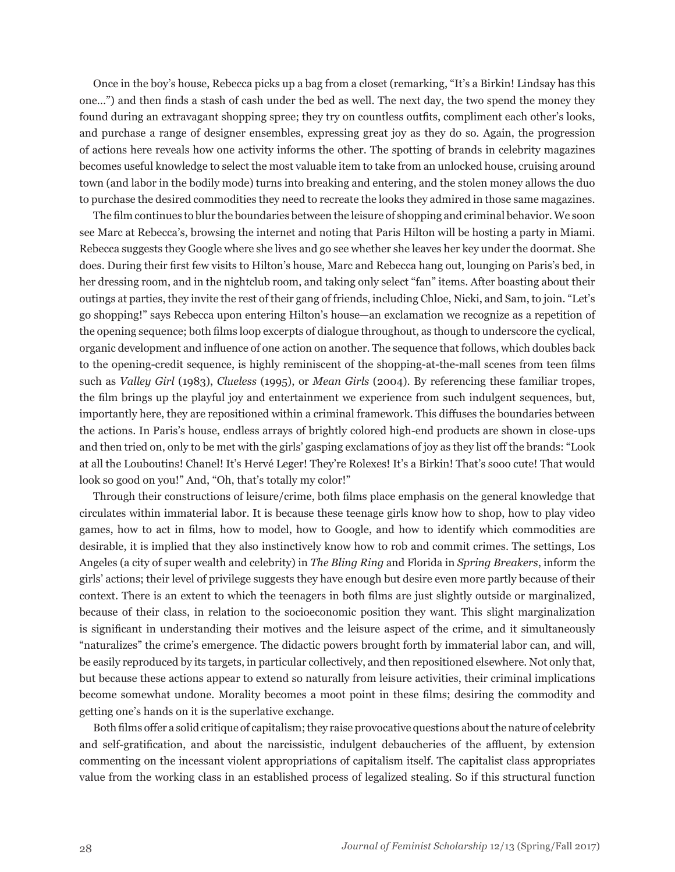Once in the boy's house, Rebecca picks up a bag from a closet (remarking, "It's a Birkin! Lindsay has this one…") and then finds a stash of cash under the bed as well. The next day, the two spend the money they found during an extravagant shopping spree; they try on countless outfits, compliment each other's looks, and purchase a range of designer ensembles, expressing great joy as they do so. Again, the progression of actions here reveals how one activity informs the other. The spotting of brands in celebrity magazines becomes useful knowledge to select the most valuable item to take from an unlocked house, cruising around town (and labor in the bodily mode) turns into breaking and entering, and the stolen money allows the duo to purchase the desired commodities they need to recreate the looks they admired in those same magazines.

The film continues to blur the boundaries between the leisure of shopping and criminal behavior. We soon see Marc at Rebecca's, browsing the internet and noting that Paris Hilton will be hosting a party in Miami. Rebecca suggests they Google where she lives and go see whether she leaves her key under the doormat. She does. During their first few visits to Hilton's house, Marc and Rebecca hang out, lounging on Paris's bed, in her dressing room, and in the nightclub room, and taking only select "fan" items. After boasting about their outings at parties, they invite the rest of their gang of friends, including Chloe, Nicki, and Sam, to join. "Let's go shopping!" says Rebecca upon entering Hilton's house—an exclamation we recognize as a repetition of the opening sequence; both films loop excerpts of dialogue throughout, as though to underscore the cyclical, organic development and influence of one action on another. The sequence that follows, which doubles back to the opening-credit sequence, is highly reminiscent of the shopping-at-the-mall scenes from teen films such as *Valley Girl* (1983), *Clueless* (1995), or *Mean Girls* (2004). By referencing these familiar tropes, the film brings up the playful joy and entertainment we experience from such indulgent sequences, but, importantly here, they are repositioned within a criminal framework. This diffuses the boundaries between the actions. In Paris's house, endless arrays of brightly colored high-end products are shown in close-ups and then tried on, only to be met with the girls' gasping exclamations of joy as they list off the brands: "Look at all the Louboutins! Chanel! It's Hervé Leger! They're Rolexes! It's a Birkin! That's sooo cute! That would look so good on you!" And, "Oh, that's totally my color!"

Through their constructions of leisure/crime, both films place emphasis on the general knowledge that circulates within immaterial labor. It is because these teenage girls know how to shop, how to play video games, how to act in films, how to model, how to Google, and how to identify which commodities are desirable, it is implied that they also instinctively know how to rob and commit crimes. The settings, Los Angeles (a city of super wealth and celebrity) in *The Bling Ring* and Florida in *Spring Breakers*, inform the girls' actions; their level of privilege suggests they have enough but desire even more partly because of their context. There is an extent to which the teenagers in both films are just slightly outside or marginalized, because of their class, in relation to the socioeconomic position they want. This slight marginalization is significant in understanding their motives and the leisure aspect of the crime, and it simultaneously "naturalizes" the crime's emergence. The didactic powers brought forth by immaterial labor can, and will, be easily reproduced by its targets, in particular collectively, and then repositioned elsewhere. Not only that, but because these actions appear to extend so naturally from leisure activities, their criminal implications become somewhat undone. Morality becomes a moot point in these films; desiring the commodity and getting one's hands on it is the superlative exchange.

Both films offer a solid critique of capitalism; they raise provocative questions about the nature of celebrity and self-gratification, and about the narcissistic, indulgent debaucheries of the affluent, by extension commenting on the incessant violent appropriations of capitalism itself. The capitalist class appropriates value from the working class in an established process of legalized stealing. So if this structural function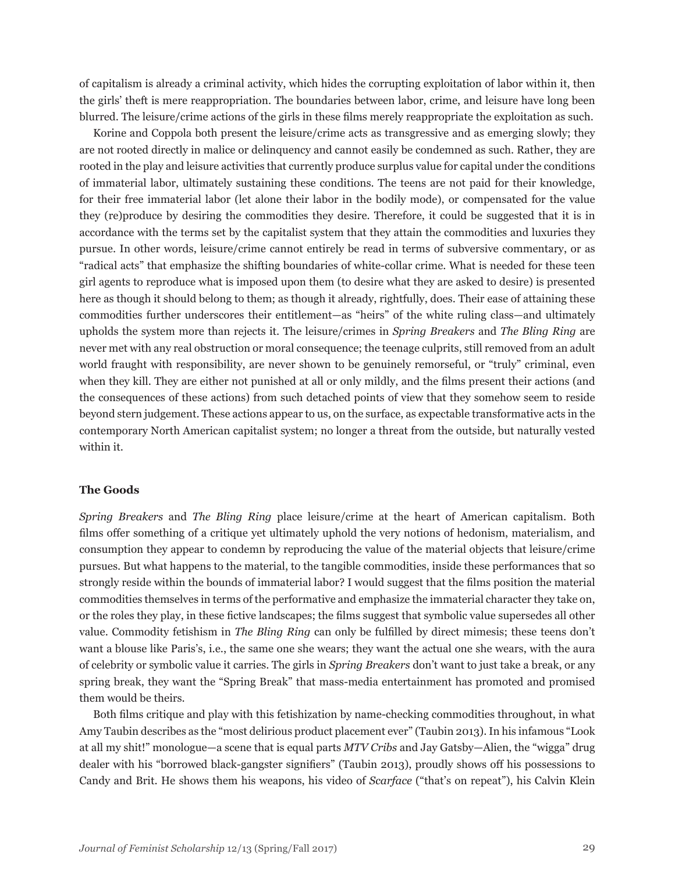of capitalism is already a criminal activity, which hides the corrupting exploitation of labor within it, then the girls' theft is mere reappropriation. The boundaries between labor, crime, and leisure have long been blurred. The leisure/crime actions of the girls in these films merely reappropriate the exploitation as such.

Korine and Coppola both present the leisure/crime acts as transgressive and as emerging slowly; they are not rooted directly in malice or delinquency and cannot easily be condemned as such. Rather, they are rooted in the play and leisure activities that currently produce surplus value for capital under the conditions of immaterial labor, ultimately sustaining these conditions. The teens are not paid for their knowledge, for their free immaterial labor (let alone their labor in the bodily mode), or compensated for the value they (re)produce by desiring the commodities they desire. Therefore, it could be suggested that it is in accordance with the terms set by the capitalist system that they attain the commodities and luxuries they pursue. In other words, leisure/crime cannot entirely be read in terms of subversive commentary, or as "radical acts" that emphasize the shifting boundaries of white-collar crime. What is needed for these teen girl agents to reproduce what is imposed upon them (to desire what they are asked to desire) is presented here as though it should belong to them; as though it already, rightfully, does. Their ease of attaining these commodities further underscores their entitlement—as "heirs" of the white ruling class—and ultimately upholds the system more than rejects it. The leisure/crimes in *Spring Breakers* and *The Bling Ring* are never met with any real obstruction or moral consequence; the teenage culprits, still removed from an adult world fraught with responsibility, are never shown to be genuinely remorseful, or "truly" criminal, even when they kill. They are either not punished at all or only mildly, and the films present their actions (and the consequences of these actions) from such detached points of view that they somehow seem to reside beyond stern judgement. These actions appear to us, on the surface, as expectable transformative acts in the contemporary North American capitalist system; no longer a threat from the outside, but naturally vested within it.

#### **The Goods**

*Spring Breakers* and *The Bling Ring* place leisure/crime at the heart of American capitalism. Both films offer something of a critique yet ultimately uphold the very notions of hedonism, materialism, and consumption they appear to condemn by reproducing the value of the material objects that leisure/crime pursues. But what happens to the material, to the tangible commodities, inside these performances that so strongly reside within the bounds of immaterial labor? I would suggest that the films position the material commodities themselves in terms of the performative and emphasize the immaterial character they take on, or the roles they play, in these fictive landscapes; the films suggest that symbolic value supersedes all other value. Commodity fetishism in *The Bling Ring* can only be fulfilled by direct mimesis; these teens don't want a blouse like Paris's, i.e., the same one she wears; they want the actual one she wears, with the aura of celebrity or symbolic value it carries. The girls in *Spring Breakers* don't want to just take a break, or any spring break, they want the "Spring Break" that mass-media entertainment has promoted and promised them would be theirs.

Both films critique and play with this fetishization by name-checking commodities throughout, in what Amy Taubin describes as the "most delirious product placement ever" (Taubin 2013). In his infamous "Look at all my shit!" monologue—a scene that is equal parts *MTV Cribs* and Jay Gatsby—Alien, the "wigga" drug dealer with his "borrowed black-gangster signifiers" (Taubin 2013), proudly shows off his possessions to Candy and Brit. He shows them his weapons, his video of *Scarface* ("that's on repeat"), his Calvin Klein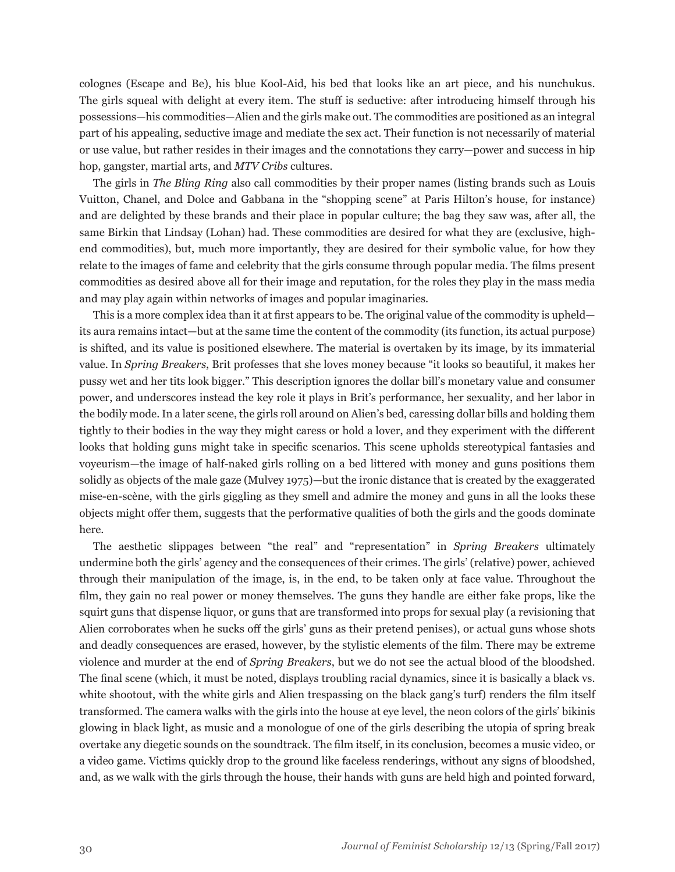colognes (Escape and Be), his blue Kool-Aid, his bed that looks like an art piece, and his nunchukus. The girls squeal with delight at every item. The stuff is seductive: after introducing himself through his possessions—his commodities—Alien and the girls make out. The commodities are positioned as an integral part of his appealing, seductive image and mediate the sex act. Their function is not necessarily of material or use value, but rather resides in their images and the connotations they carry—power and success in hip hop, gangster, martial arts, and *MTV Cribs* cultures.

The girls in *The Bling Ring* also call commodities by their proper names (listing brands such as Louis Vuitton, Chanel, and Dolce and Gabbana in the "shopping scene" at Paris Hilton's house, for instance) and are delighted by these brands and their place in popular culture; the bag they saw was, after all, the same Birkin that Lindsay (Lohan) had. These commodities are desired for what they are (exclusive, highend commodities), but, much more importantly, they are desired for their symbolic value, for how they relate to the images of fame and celebrity that the girls consume through popular media. The films present commodities as desired above all for their image and reputation, for the roles they play in the mass media and may play again within networks of images and popular imaginaries.

This is a more complex idea than it at first appears to be. The original value of the commodity is upheld its aura remains intact—but at the same time the content of the commodity (its function, its actual purpose) is shifted, and its value is positioned elsewhere. The material is overtaken by its image, by its immaterial value. In *Spring Breakers*, Brit professes that she loves money because "it looks so beautiful, it makes her pussy wet and her tits look bigger." This description ignores the dollar bill's monetary value and consumer power, and underscores instead the key role it plays in Brit's performance, her sexuality, and her labor in the bodily mode. In a later scene, the girls roll around on Alien's bed, caressing dollar bills and holding them tightly to their bodies in the way they might caress or hold a lover, and they experiment with the different looks that holding guns might take in specific scenarios. This scene upholds stereotypical fantasies and voyeurism—the image of half-naked girls rolling on a bed littered with money and guns positions them solidly as objects of the male gaze (Mulvey 1975)—but the ironic distance that is created by the exaggerated mise-en-scène, with the girls giggling as they smell and admire the money and guns in all the looks these objects might offer them, suggests that the performative qualities of both the girls and the goods dominate here.

The aesthetic slippages between "the real" and "representation" in *Spring Breakers* ultimately undermine both the girls' agency and the consequences of their crimes. The girls' (relative) power, achieved through their manipulation of the image, is, in the end, to be taken only at face value. Throughout the film, they gain no real power or money themselves. The guns they handle are either fake props, like the squirt guns that dispense liquor, or guns that are transformed into props for sexual play (a revisioning that Alien corroborates when he sucks off the girls' guns as their pretend penises), or actual guns whose shots and deadly consequences are erased, however, by the stylistic elements of the film. There may be extreme violence and murder at the end of *Spring Breakers*, but we do not see the actual blood of the bloodshed. The final scene (which, it must be noted, displays troubling racial dynamics, since it is basically a black vs. white shootout, with the white girls and Alien trespassing on the black gang's turf) renders the film itself transformed. The camera walks with the girls into the house at eye level, the neon colors of the girls' bikinis glowing in black light, as music and a monologue of one of the girls describing the utopia of spring break overtake any diegetic sounds on the soundtrack. The film itself, in its conclusion, becomes a music video, or a video game. Victims quickly drop to the ground like faceless renderings, without any signs of bloodshed, and, as we walk with the girls through the house, their hands with guns are held high and pointed forward,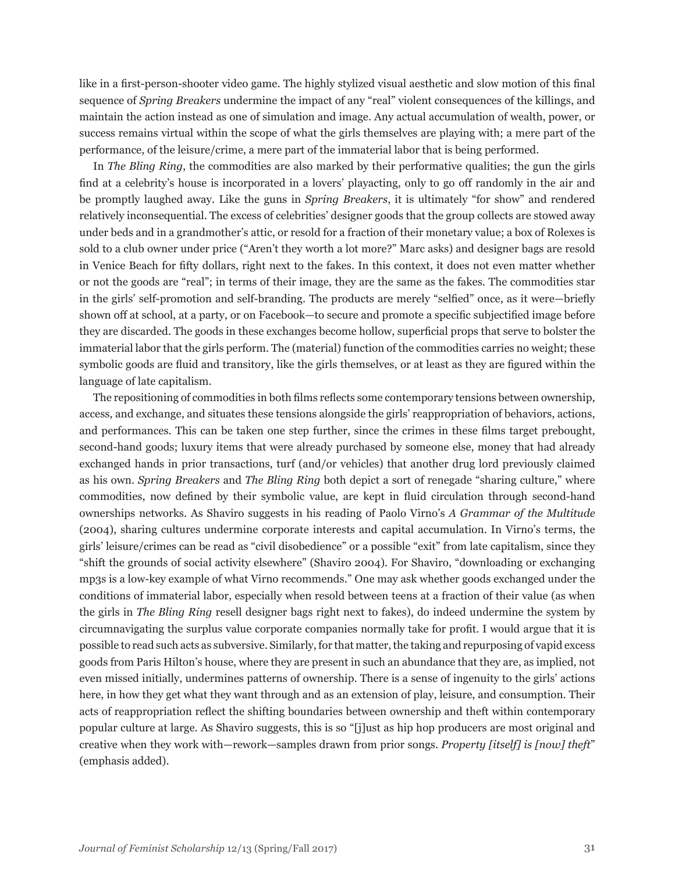like in a first-person-shooter video game. The highly stylized visual aesthetic and slow motion of this final sequence of *Spring Breakers* undermine the impact of any "real" violent consequences of the killings, and maintain the action instead as one of simulation and image. Any actual accumulation of wealth, power, or success remains virtual within the scope of what the girls themselves are playing with; a mere part of the performance, of the leisure/crime, a mere part of the immaterial labor that is being performed.

In *The Bling Ring*, the commodities are also marked by their performative qualities; the gun the girls find at a celebrity's house is incorporated in a lovers' playacting, only to go off randomly in the air and be promptly laughed away. Like the guns in *Spring Breakers*, it is ultimately "for show" and rendered relatively inconsequential. The excess of celebrities' designer goods that the group collects are stowed away under beds and in a grandmother's attic, or resold for a fraction of their monetary value; a box of Rolexes is sold to a club owner under price ("Aren't they worth a lot more?" Marc asks) and designer bags are resold in Venice Beach for fifty dollars, right next to the fakes. In this context, it does not even matter whether or not the goods are "real"; in terms of their image, they are the same as the fakes. The commodities star in the girls' self-promotion and self-branding. The products are merely "selfied" once, as it were—briefly shown off at school, at a party, or on Facebook—to secure and promote a specific subjectified image before they are discarded. The goods in these exchanges become hollow, superficial props that serve to bolster the immaterial labor that the girls perform. The (material) function of the commodities carries no weight; these symbolic goods are fluid and transitory, like the girls themselves, or at least as they are figured within the language of late capitalism.

The repositioning of commodities in both films reflects some contemporary tensions between ownership, access, and exchange, and situates these tensions alongside the girls' reappropriation of behaviors, actions, and performances. This can be taken one step further, since the crimes in these films target prebought, second-hand goods; luxury items that were already purchased by someone else, money that had already exchanged hands in prior transactions, turf (and/or vehicles) that another drug lord previously claimed as his own. *Spring Breakers* and *The Bling Ring* both depict a sort of renegade "sharing culture," where commodities, now defined by their symbolic value, are kept in fluid circulation through second-hand ownerships networks. As Shaviro suggests in his reading of Paolo Virno's *A Grammar of the Multitude* (2004), sharing cultures undermine corporate interests and capital accumulation. In Virno's terms, the girls' leisure/crimes can be read as "civil disobedience" or a possible "exit" from late capitalism, since they "shift the grounds of social activity elsewhere" (Shaviro 2004). For Shaviro, "downloading or exchanging mp3s is a low-key example of what Virno recommends." One may ask whether goods exchanged under the conditions of immaterial labor, especially when resold between teens at a fraction of their value (as when the girls in *The Bling Ring* resell designer bags right next to fakes), do indeed undermine the system by circumnavigating the surplus value corporate companies normally take for profit. I would argue that it is possible to read such acts as subversive. Similarly, for that matter, the taking and repurposing of vapid excess goods from Paris Hilton's house, where they are present in such an abundance that they are, as implied, not even missed initially, undermines patterns of ownership. There is a sense of ingenuity to the girls' actions here, in how they get what they want through and as an extension of play, leisure, and consumption. Their acts of reappropriation reflect the shifting boundaries between ownership and theft within contemporary popular culture at large. As Shaviro suggests, this is so "[j]ust as hip hop producers are most original and creative when they work with—rework—samples drawn from prior songs. *Property [itself] is [now] theft*" (emphasis added).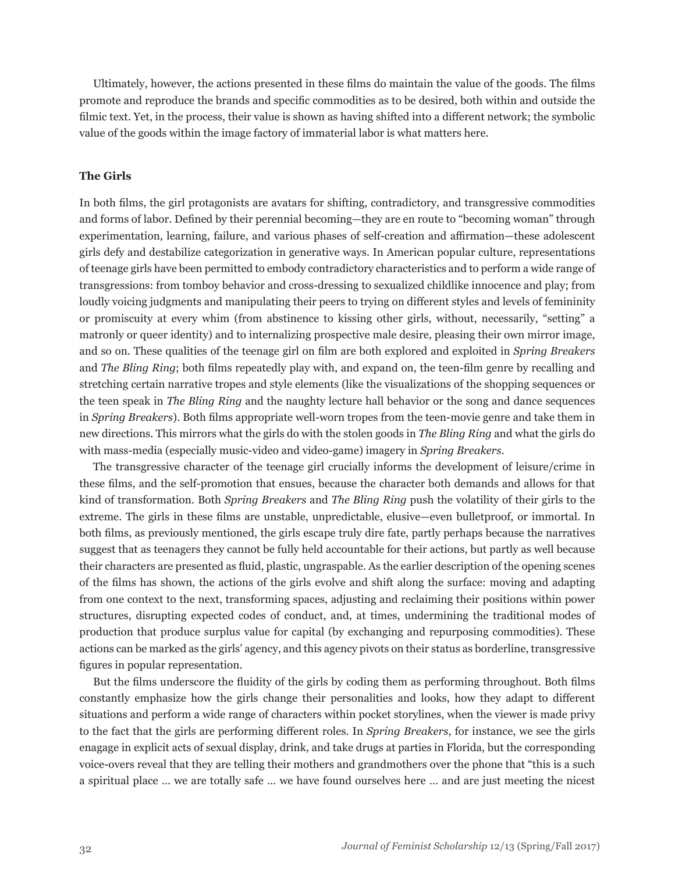Ultimately, however, the actions presented in these films do maintain the value of the goods. The films promote and reproduce the brands and specific commodities as to be desired, both within and outside the filmic text. Yet, in the process, their value is shown as having shifted into a different network; the symbolic value of the goods within the image factory of immaterial labor is what matters here.

#### **The Girls**

In both films, the girl protagonists are avatars for shifting, contradictory, and transgressive commodities and forms of labor. Defined by their perennial becoming—they are en route to "becoming woman" through experimentation, learning, failure, and various phases of self-creation and affirmation—these adolescent girls defy and destabilize categorization in generative ways. In American popular culture, representations of teenage girls have been permitted to embody contradictory characteristics and to perform a wide range of transgressions: from tomboy behavior and cross-dressing to sexualized childlike innocence and play; from loudly voicing judgments and manipulating their peers to trying on different styles and levels of femininity or promiscuity at every whim (from abstinence to kissing other girls, without, necessarily, "setting" a matronly or queer identity) and to internalizing prospective male desire, pleasing their own mirror image, and so on. These qualities of the teenage girl on film are both explored and exploited in *Spring Breakers* and *The Bling Ring*; both films repeatedly play with, and expand on, the teen-film genre by recalling and stretching certain narrative tropes and style elements (like the visualizations of the shopping sequences or the teen speak in *The Bling Ring* and the naughty lecture hall behavior or the song and dance sequences in *Spring Breakers*). Both films appropriate well-worn tropes from the teen-movie genre and take them in new directions. This mirrors what the girls do with the stolen goods in *The Bling Ring* and what the girls do with mass-media (especially music-video and video-game) imagery in *Spring Breakers*.

The transgressive character of the teenage girl crucially informs the development of leisure/crime in these films, and the self-promotion that ensues, because the character both demands and allows for that kind of transformation. Both *Spring Breakers* and *The Bling Ring* push the volatility of their girls to the extreme. The girls in these films are unstable, unpredictable, elusive—even bulletproof, or immortal. In both films, as previously mentioned, the girls escape truly dire fate, partly perhaps because the narratives suggest that as teenagers they cannot be fully held accountable for their actions, but partly as well because their characters are presented as fluid, plastic, ungraspable. As the earlier description of the opening scenes of the films has shown, the actions of the girls evolve and shift along the surface: moving and adapting from one context to the next, transforming spaces, adjusting and reclaiming their positions within power structures, disrupting expected codes of conduct, and, at times, undermining the traditional modes of production that produce surplus value for capital (by exchanging and repurposing commodities). These actions can be marked as the girls' agency, and this agency pivots on their status as borderline, transgressive figures in popular representation.

But the films underscore the fluidity of the girls by coding them as performing throughout. Both films constantly emphasize how the girls change their personalities and looks, how they adapt to different situations and perform a wide range of characters within pocket storylines, when the viewer is made privy to the fact that the girls are performing different roles. In *Spring Breakers*, for instance, we see the girls enagage in explicit acts of sexual display, drink, and take drugs at parties in Florida, but the corresponding voice-overs reveal that they are telling their mothers and grandmothers over the phone that "this is a such a spiritual place … we are totally safe … we have found ourselves here … and are just meeting the nicest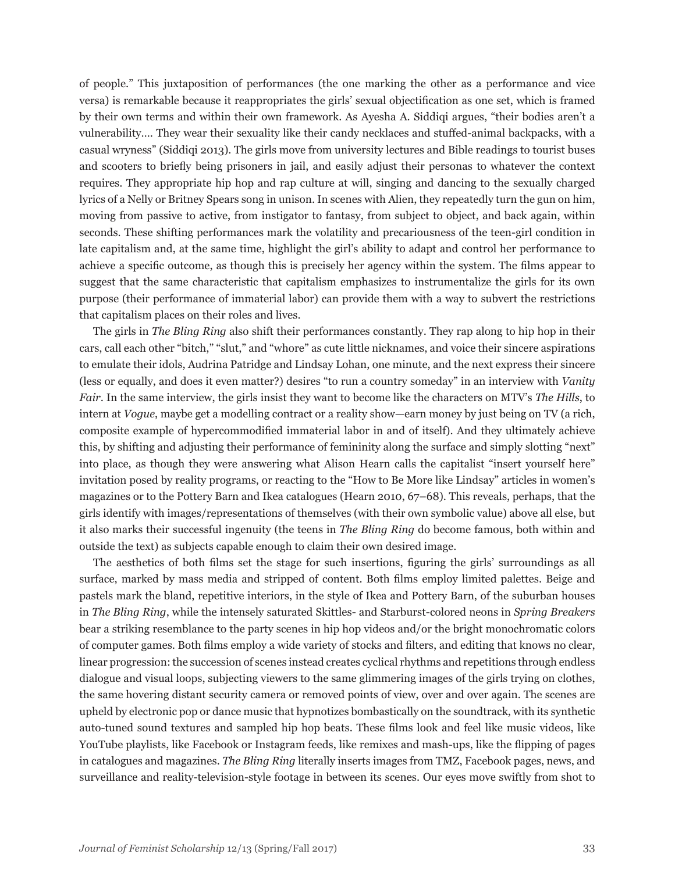of people." This juxtaposition of performances (the one marking the other as a performance and vice versa) is remarkable because it reappropriates the girls' sexual objectification as one set, which is framed by their own terms and within their own framework. As Ayesha A. Siddiqi argues, "their bodies aren't a vulnerability…. They wear their sexuality like their candy necklaces and stuffed-animal backpacks, with a casual wryness" (Siddiqi 2013). The girls move from university lectures and Bible readings to tourist buses and scooters to briefly being prisoners in jail, and easily adjust their personas to whatever the context requires. They appropriate hip hop and rap culture at will, singing and dancing to the sexually charged lyrics of a Nelly or Britney Spears song in unison. In scenes with Alien, they repeatedly turn the gun on him, moving from passive to active, from instigator to fantasy, from subject to object, and back again, within seconds. These shifting performances mark the volatility and precariousness of the teen-girl condition in late capitalism and, at the same time, highlight the girl's ability to adapt and control her performance to achieve a specific outcome, as though this is precisely her agency within the system. The films appear to suggest that the same characteristic that capitalism emphasizes to instrumentalize the girls for its own purpose (their performance of immaterial labor) can provide them with a way to subvert the restrictions that capitalism places on their roles and lives.

The girls in *The Bling Ring* also shift their performances constantly. They rap along to hip hop in their cars, call each other "bitch," "slut," and "whore" as cute little nicknames, and voice their sincere aspirations to emulate their idols, Audrina Patridge and Lindsay Lohan, one minute, and the next express their sincere (less or equally, and does it even matter?) desires "to run a country someday" in an interview with *Vanity Fair*. In the same interview, the girls insist they want to become like the characters on MTV's *The Hills*, to intern at *Vogue*, maybe get a modelling contract or a reality show—earn money by just being on TV (a rich, composite example of hypercommodified immaterial labor in and of itself). And they ultimately achieve this, by shifting and adjusting their performance of femininity along the surface and simply slotting "next" into place, as though they were answering what Alison Hearn calls the capitalist "insert yourself here" invitation posed by reality programs, or reacting to the "How to Be More like Lindsay" articles in women's magazines or to the Pottery Barn and Ikea catalogues (Hearn 2010, 67–68). This reveals, perhaps, that the girls identify with images/representations of themselves (with their own symbolic value) above all else, but it also marks their successful ingenuity (the teens in *The Bling Ring* do become famous, both within and outside the text) as subjects capable enough to claim their own desired image.

The aesthetics of both films set the stage for such insertions, figuring the girls' surroundings as all surface, marked by mass media and stripped of content. Both films employ limited palettes. Beige and pastels mark the bland, repetitive interiors, in the style of Ikea and Pottery Barn, of the suburban houses in *The Bling Ring*, while the intensely saturated Skittles- and Starburst-colored neons in *Spring Breakers* bear a striking resemblance to the party scenes in hip hop videos and/or the bright monochromatic colors of computer games. Both films employ a wide variety of stocks and filters, and editing that knows no clear, linear progression: the succession of scenes instead creates cyclical rhythms and repetitions through endless dialogue and visual loops, subjecting viewers to the same glimmering images of the girls trying on clothes, the same hovering distant security camera or removed points of view, over and over again. The scenes are upheld by electronic pop or dance music that hypnotizes bombastically on the soundtrack, with its synthetic auto-tuned sound textures and sampled hip hop beats. These films look and feel like music videos, like YouTube playlists, like Facebook or Instagram feeds, like remixes and mash-ups, like the flipping of pages in catalogues and magazines. *The Bling Ring* literally inserts images from TMZ, Facebook pages, news, and surveillance and reality-television-style footage in between its scenes. Our eyes move swiftly from shot to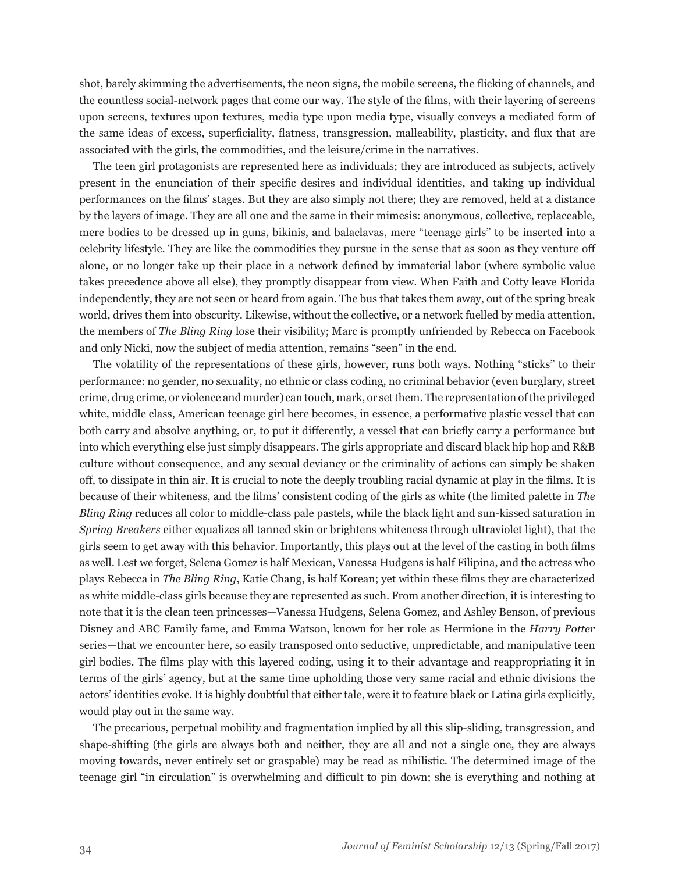shot, barely skimming the advertisements, the neon signs, the mobile screens, the flicking of channels, and the countless social-network pages that come our way. The style of the films, with their layering of screens upon screens, textures upon textures, media type upon media type, visually conveys a mediated form of the same ideas of excess, superficiality, flatness, transgression, malleability, plasticity, and flux that are associated with the girls, the commodities, and the leisure/crime in the narratives.

The teen girl protagonists are represented here as individuals; they are introduced as subjects, actively present in the enunciation of their specific desires and individual identities, and taking up individual performances on the films' stages. But they are also simply not there; they are removed, held at a distance by the layers of image. They are all one and the same in their mimesis: anonymous, collective, replaceable, mere bodies to be dressed up in guns, bikinis, and balaclavas, mere "teenage girls" to be inserted into a celebrity lifestyle. They are like the commodities they pursue in the sense that as soon as they venture off alone, or no longer take up their place in a network defined by immaterial labor (where symbolic value takes precedence above all else), they promptly disappear from view. When Faith and Cotty leave Florida independently, they are not seen or heard from again. The bus that takes them away, out of the spring break world, drives them into obscurity. Likewise, without the collective, or a network fuelled by media attention, the members of *The Bling Ring* lose their visibility; Marc is promptly unfriended by Rebecca on Facebook and only Nicki, now the subject of media attention, remains "seen" in the end.

The volatility of the representations of these girls, however, runs both ways. Nothing "sticks" to their performance: no gender, no sexuality, no ethnic or class coding, no criminal behavior (even burglary, street crime, drug crime, or violence and murder) can touch, mark, or set them. The representation of the privileged white, middle class, American teenage girl here becomes, in essence, a performative plastic vessel that can both carry and absolve anything, or, to put it differently, a vessel that can briefly carry a performance but into which everything else just simply disappears. The girls appropriate and discard black hip hop and R&B culture without consequence, and any sexual deviancy or the criminality of actions can simply be shaken off, to dissipate in thin air. It is crucial to note the deeply troubling racial dynamic at play in the films. It is because of their whiteness, and the films' consistent coding of the girls as white (the limited palette in *The Bling Ring* reduces all color to middle-class pale pastels, while the black light and sun-kissed saturation in *Spring Breakers* either equalizes all tanned skin or brightens whiteness through ultraviolet light), that the girls seem to get away with this behavior. Importantly, this plays out at the level of the casting in both films as well. Lest we forget, Selena Gomez is half Mexican, Vanessa Hudgens is half Filipina, and the actress who plays Rebecca in *The Bling Ring*, Katie Chang, is half Korean; yet within these films they are characterized as white middle-class girls because they are represented as such. From another direction, it is interesting to note that it is the clean teen princesses—Vanessa Hudgens, Selena Gomez, and Ashley Benson, of previous Disney and ABC Family fame, and Emma Watson, known for her role as Hermione in the *Harry Potter* series—that we encounter here, so easily transposed onto seductive, unpredictable, and manipulative teen girl bodies. The films play with this layered coding, using it to their advantage and reappropriating it in terms of the girls' agency, but at the same time upholding those very same racial and ethnic divisions the actors' identities evoke. It is highly doubtful that either tale, were it to feature black or Latina girls explicitly, would play out in the same way.

The precarious, perpetual mobility and fragmentation implied by all this slip-sliding, transgression, and shape-shifting (the girls are always both and neither, they are all and not a single one, they are always moving towards, never entirely set or graspable) may be read as nihilistic. The determined image of the teenage girl "in circulation" is overwhelming and difficult to pin down; she is everything and nothing at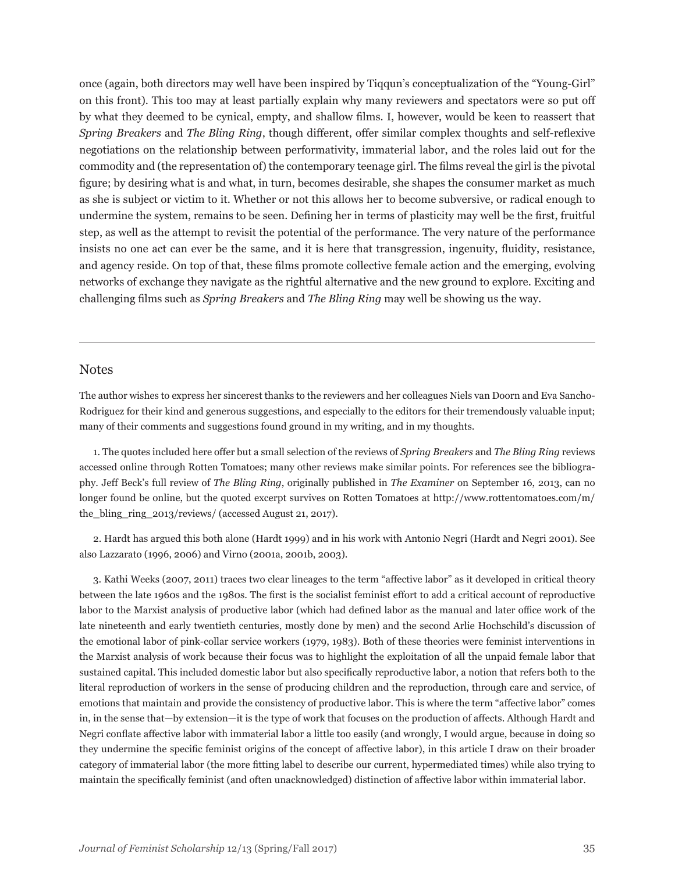once (again, both directors may well have been inspired by Tiqqun's conceptualization of the "Young-Girl" on this front). This too may at least partially explain why many reviewers and spectators were so put off by what they deemed to be cynical, empty, and shallow films. I, however, would be keen to reassert that *Spring Breakers* and *The Bling Ring*, though different, offer similar complex thoughts and self-reflexive negotiations on the relationship between performativity, immaterial labor, and the roles laid out for the commodity and (the representation of) the contemporary teenage girl. The films reveal the girl is the pivotal figure; by desiring what is and what, in turn, becomes desirable, she shapes the consumer market as much as she is subject or victim to it. Whether or not this allows her to become subversive, or radical enough to undermine the system, remains to be seen. Defining her in terms of plasticity may well be the first, fruitful step, as well as the attempt to revisit the potential of the performance. The very nature of the performance insists no one act can ever be the same, and it is here that transgression, ingenuity, fluidity, resistance, and agency reside. On top of that, these films promote collective female action and the emerging, evolving networks of exchange they navigate as the rightful alternative and the new ground to explore. Exciting and challenging films such as *Spring Breakers* and *The Bling Ring* may well be showing us the way.

#### **Notes**

The author wishes to express her sincerest thanks to the reviewers and her colleagues Niels van Doorn and Eva Sancho-Rodriguez for their kind and generous suggestions, and especially to the editors for their tremendously valuable input; many of their comments and suggestions found ground in my writing, and in my thoughts.

1. The quotes included here offer but a small selection of the reviews of *Spring Breakers* and *The Bling Ring* reviews accessed online through Rotten Tomatoes; many other reviews make similar points. For references see the bibliography. Jeff Beck's full review of *The Bling Ring*, originally published in *The Examiner* on September 16, 2013, can no longer found be online, but the quoted excerpt survives on Rotten Tomatoes at http://www.rottentomatoes.com/m/ the\_bling\_ring\_2013/reviews/ (accessed August 21, 2017).

2. Hardt has argued this both alone (Hardt 1999) and in his work with Antonio Negri (Hardt and Negri 2001). See also Lazzarato (1996, 2006) and Virno (2001a, 2001b, 2003).

3. Kathi Weeks (2007, 2011) traces two clear lineages to the term "affective labor" as it developed in critical theory between the late 1960s and the 1980s. The first is the socialist feminist effort to add a critical account of reproductive labor to the Marxist analysis of productive labor (which had defined labor as the manual and later office work of the late nineteenth and early twentieth centuries, mostly done by men) and the second Arlie Hochschild's discussion of the emotional labor of pink-collar service workers (1979, 1983). Both of these theories were feminist interventions in the Marxist analysis of work because their focus was to highlight the exploitation of all the unpaid female labor that sustained capital. This included domestic labor but also specifically reproductive labor, a notion that refers both to the literal reproduction of workers in the sense of producing children and the reproduction, through care and service, of emotions that maintain and provide the consistency of productive labor. This is where the term "affective labor" comes in, in the sense that—by extension—it is the type of work that focuses on the production of affects. Although Hardt and Negri conflate affective labor with immaterial labor a little too easily (and wrongly, I would argue, because in doing so they undermine the specific feminist origins of the concept of affective labor), in this article I draw on their broader category of immaterial labor (the more fitting label to describe our current, hypermediated times) while also trying to maintain the specifically feminist (and often unacknowledged) distinction of affective labor within immaterial labor.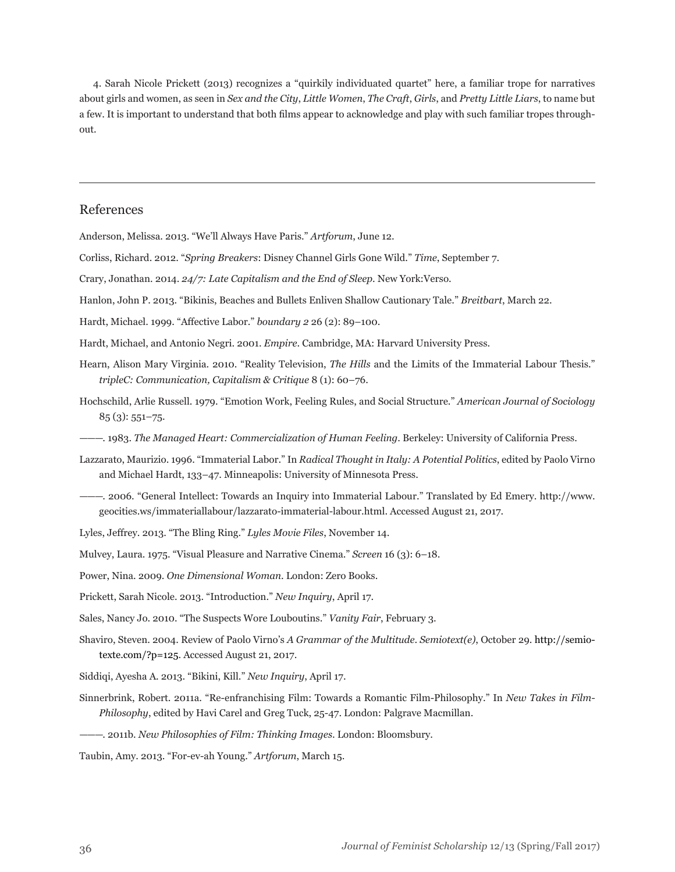4. Sarah Nicole Prickett (2013) recognizes a "quirkily individuated quartet" here, a familiar trope for narratives about girls and women, as seen in *Sex and the City*, *Little Women*, *The Craft*, *Girls*, and *Pretty Little Liars*, to name but a few. It is important to understand that both films appear to acknowledge and play with such familiar tropes throughout.

#### References

Anderson, Melissa. 2013. "We'll Always Have Paris." *Artforum*, June 12.

- Corliss, Richard. 2012. "*Spring Breakers*: Disney Channel Girls Gone Wild." *Time*, September 7.
- Crary, Jonathan. 2014. *24/7: Late Capitalism and the End of Sleep*. New York:Verso.
- Hanlon, John P. 2013. "Bikinis, Beaches and Bullets Enliven Shallow Cautionary Tale." *Breitbart*, March 22.
- Hardt, Michael. 1999. "Affective Labor." *boundary 2* 26 (2): 89–100.
- Hardt, Michael, and Antonio Negri. 2001. *Empire*. Cambridge, MA: Harvard University Press.
- Hearn, Alison Mary Virginia. 2010. "Reality Television, *The Hills* and the Limits of the Immaterial Labour Thesis." *tripleC: Communication, Capitalism & Critique* 8 (1): 60–76.
- Hochschild, Arlie Russell. 1979. "Emotion Work, Feeling Rules, and Social Structure." *American Journal of Sociology* 85 (3): 551–75.
- ———. 1983. *The Managed Heart: Commercialization of Human Feeling*. Berkeley: University of California Press.
- Lazzarato, Maurizio. 1996. "Immaterial Labor." In *Radical Thought in Italy: A Potential Politics*, edited by Paolo Virno and Michael Hardt, 133–47. Minneapolis: University of Minnesota Press.
- ———. 2006. "General Intellect: Towards an Inquiry into Immaterial Labour." Translated by Ed Emery. http://www. geocities.ws/immateriallabour/lazzarato-immaterial-labour.html. Accessed August 21, 2017.
- Lyles, Jeffrey. 2013. "The Bling Ring." *Lyles Movie Files*, November 14.
- Mulvey, Laura. 1975. "Visual Pleasure and Narrative Cinema." *Screen* 16 (3): 6–18.
- Power, Nina. 2009. *One Dimensional Woman*. London: Zero Books.
- Prickett, Sarah Nicole. 2013. "Introduction." *New Inquiry*, April 17.
- Sales, Nancy Jo. 2010. "The Suspects Wore Louboutins." *Vanity Fair*, February 3.
- Shaviro, Steven. 2004. Review of Paolo Virno's *A Grammar of the Multitude*. *Semiotext(e)*, October 29. http://semiotexte.com/?p=125. Accessed August 21, 2017.
- Siddiqi, Ayesha A. 2013. "Bikini, Kill." *New Inquiry*, April 17.
- Sinnerbrink, Robert. 2011a. "Re-enfranchising Film: Towards a Romantic Film-Philosophy." In *New Takes in Film-Philosophy*, edited by Havi Carel and Greg Tuck, 25-47. London: Palgrave Macmillan.
- ———. 2011b. *New Philosophies of Film: Thinking Images*. London: Bloomsbury.

Taubin, Amy. 2013. "For-ev-ah Young." *Artforum*, March 15.